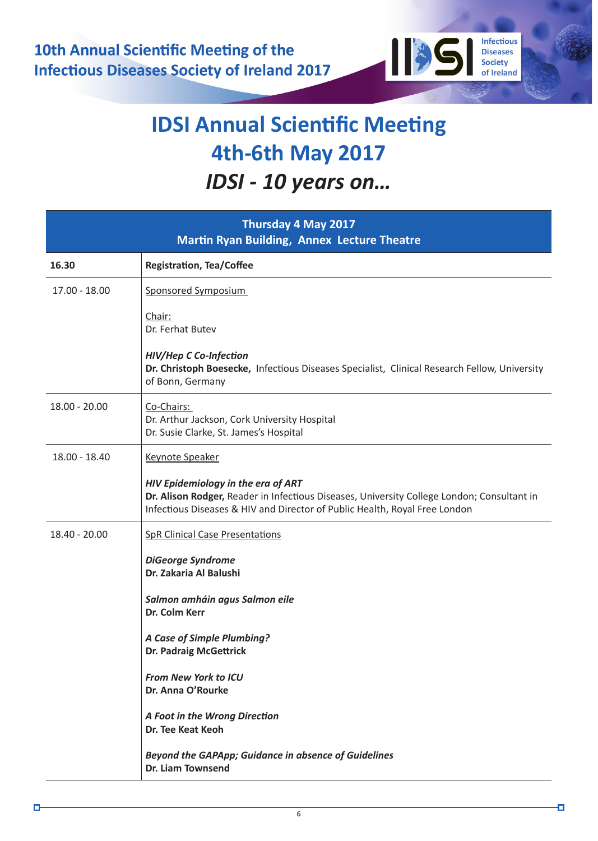

**Infectious** 

**Diseases** Society

of Ireland

О

1135

| Thursday 4 May 2017<br><b>Martin Ryan Building, Annex Lecture Theatre</b> |                                                                                                                                                                                                                |
|---------------------------------------------------------------------------|----------------------------------------------------------------------------------------------------------------------------------------------------------------------------------------------------------------|
| 16.30                                                                     | <b>Registration, Tea/Coffee</b>                                                                                                                                                                                |
| $17.00 - 18.00$                                                           | <b>Sponsored Symposium</b>                                                                                                                                                                                     |
|                                                                           | Chair:<br>Dr. Ferhat Butev                                                                                                                                                                                     |
|                                                                           | <b>HIV/Hep C Co-Infection</b><br>Dr. Christoph Boesecke, Infectious Diseases Specialist, Clinical Research Fellow, University<br>of Bonn, Germany                                                              |
| $18.00 - 20.00$                                                           | Co-Chairs:<br>Dr. Arthur Jackson, Cork University Hospital<br>Dr. Susie Clarke, St. James's Hospital                                                                                                           |
| 18.00 - 18.40                                                             | <b>Keynote Speaker</b>                                                                                                                                                                                         |
|                                                                           | HIV Epidemiology in the era of ART<br>Dr. Alison Rodger, Reader in Infectious Diseases, University College London; Consultant in<br>Infectious Diseases & HIV and Director of Public Health, Royal Free London |
| 18.40 - 20.00                                                             | <b>SpR Clinical Case Presentations</b>                                                                                                                                                                         |
|                                                                           | <b>DiGeorge Syndrome</b><br>Dr. Zakaria Al Balushi                                                                                                                                                             |
|                                                                           |                                                                                                                                                                                                                |
|                                                                           | Salmon amháin agus Salmon eile<br>Dr. Colm Kerr                                                                                                                                                                |
|                                                                           | A Case of Simple Plumbing?<br><b>Dr. Padraig McGettrick</b>                                                                                                                                                    |
|                                                                           | <b>From New York to ICU</b><br>Dr. Anna O'Rourke                                                                                                                                                               |
|                                                                           | A Foot in the Wrong Direction<br>Dr. Tee Keat Keoh                                                                                                                                                             |
|                                                                           | Beyond the GAPApp; Guidance in absence of Guidelines<br><b>Dr. Liam Townsend</b>                                                                                                                               |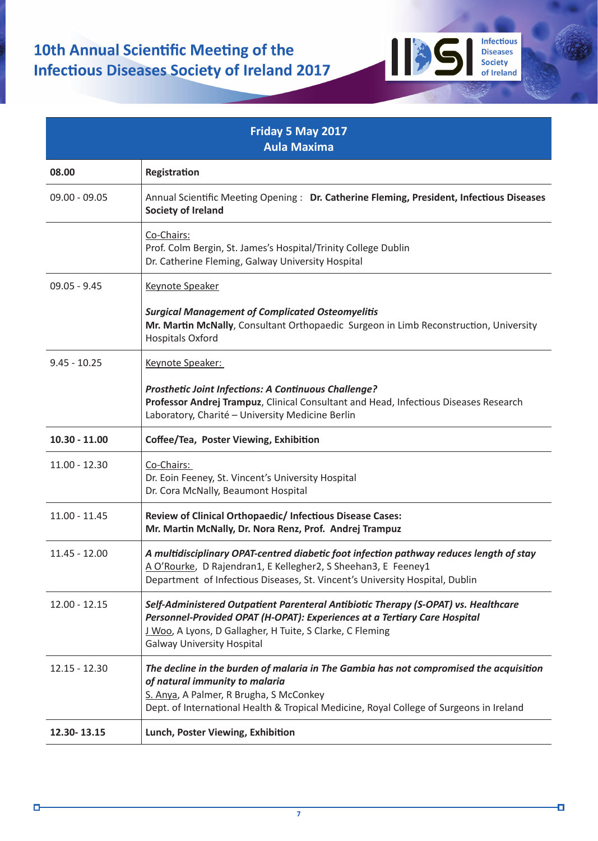| Friday 5 May 2017<br><b>Aula Maxima</b> |                                                                                                                                                                                                                                                                   |  |
|-----------------------------------------|-------------------------------------------------------------------------------------------------------------------------------------------------------------------------------------------------------------------------------------------------------------------|--|
| 08.00                                   | Registration                                                                                                                                                                                                                                                      |  |
| $09.00 - 09.05$                         | Annual Scientific Meeting Opening: Dr. Catherine Fleming, President, Infectious Diseases<br><b>Society of Ireland</b>                                                                                                                                             |  |
|                                         | Co-Chairs:<br>Prof. Colm Bergin, St. James's Hospital/Trinity College Dublin<br>Dr. Catherine Fleming, Galway University Hospital                                                                                                                                 |  |
| $09.05 - 9.45$                          | <b>Keynote Speaker</b>                                                                                                                                                                                                                                            |  |
|                                         | <b>Surgical Management of Complicated Osteomyelitis</b><br>Mr. Martin McNally, Consultant Orthopaedic Surgeon in Limb Reconstruction, University<br><b>Hospitals Oxford</b>                                                                                       |  |
| $9.45 - 10.25$                          | Keynote Speaker:                                                                                                                                                                                                                                                  |  |
|                                         | <b>Prosthetic Joint Infections: A Continuous Challenge?</b><br>Professor Andrej Trampuz, Clinical Consultant and Head, Infectious Diseases Research<br>Laboratory, Charité - University Medicine Berlin                                                           |  |
| $10.30 - 11.00$                         | Coffee/Tea, Poster Viewing, Exhibition                                                                                                                                                                                                                            |  |
| $11.00 - 12.30$                         | Co-Chairs:<br>Dr. Eoin Feeney, St. Vincent's University Hospital<br>Dr. Cora McNally, Beaumont Hospital                                                                                                                                                           |  |
| 11.00 - 11.45                           | Review of Clinical Orthopaedic/ Infectious Disease Cases:<br>Mr. Martin McNally, Dr. Nora Renz, Prof. Andrej Trampuz                                                                                                                                              |  |
| 11.45 - 12.00                           | A multidisciplinary OPAT-centred diabetic foot infection pathway reduces length of stay<br>A O'Rourke, D Rajendran1, E Kellegher2, S Sheehan3, E Feeney1<br>Department of Infectious Diseases, St. Vincent's University Hospital, Dublin                          |  |
| $12.00 - 12.15$                         | Self-Administered Outpatient Parenteral Antibiotic Therapy (S-OPAT) vs. Healthcare<br>Personnel-Provided OPAT (H-OPAT): Experiences at a Tertiary Care Hospital<br>J Woo, A Lyons, D Gallagher, H Tuite, S Clarke, C Fleming<br><b>Galway University Hospital</b> |  |
| $12.15 - 12.30$                         | The decline in the burden of malaria in The Gambia has not compromised the acquisition<br>of natural immunity to malaria<br>S. Anya, A Palmer, R Brugha, S McConkey<br>Dept. of International Health & Tropical Medicine, Royal College of Surgeons in Ireland    |  |
| 12.30-13.15                             | Lunch, Poster Viewing, Exhibition                                                                                                                                                                                                                                 |  |

Infectious<br>Diseases<br>Society<br>of Ireland

**1135**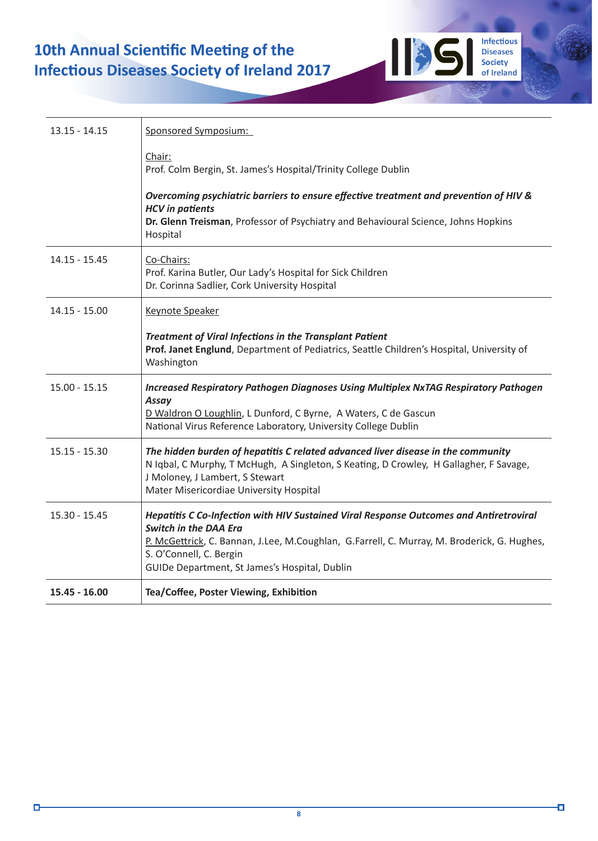## 10th Annual Scientific Meeting of the **Infectious Diseases Society of Ireland 2017**

| $13.15 - 14.15$ | Sponsored Symposium:                                                                                                                                                                                                                                                                              |
|-----------------|---------------------------------------------------------------------------------------------------------------------------------------------------------------------------------------------------------------------------------------------------------------------------------------------------|
|                 | Chair:<br>Prof. Colm Bergin, St. James's Hospital/Trinity College Dublin                                                                                                                                                                                                                          |
|                 | Overcoming psychiatric barriers to ensure effective treatment and prevention of HIV &<br><b>HCV</b> in patients<br>Dr. Glenn Treisman, Professor of Psychiatry and Behavioural Science, Johns Hopkins<br>Hospital                                                                                 |
| $14.15 - 15.45$ | Co-Chairs:<br>Prof. Karina Butler, Our Lady's Hospital for Sick Children<br>Dr. Corinna Sadlier, Cork University Hospital                                                                                                                                                                         |
| $14.15 - 15.00$ | <b>Keynote Speaker</b>                                                                                                                                                                                                                                                                            |
|                 | <b>Treatment of Viral Infections in the Transplant Patient</b><br>Prof. Janet Englund, Department of Pediatrics, Seattle Children's Hospital, University of<br>Washington                                                                                                                         |
| $15.00 - 15.15$ | <b>Increased Respiratory Pathogen Diagnoses Using Multiplex NxTAG Respiratory Pathogen</b><br>Assay<br>D Waldron O Loughlin, L Dunford, C Byrne, A Waters, C de Gascun<br>National Virus Reference Laboratory, University College Dublin                                                          |
| $15.15 - 15.30$ | The hidden burden of hepatitis C related advanced liver disease in the community<br>N Iqbal, C Murphy, T McHugh, A Singleton, S Keating, D Crowley, H Gallagher, F Savage,<br>J Moloney, J Lambert, S Stewart<br>Mater Misericordiae University Hospital                                          |
| $15.30 - 15.45$ | Hepatitis C Co-Infection with HIV Sustained Viral Response Outcomes and Antiretroviral<br><b>Switch in the DAA Era</b><br>P. McGettrick, C. Bannan, J.Lee, M.Coughlan, G.Farrell, C. Murray, M. Broderick, G. Hughes,<br>S. O'Connell, C. Bergin<br>GUIDe Department, St James's Hospital, Dublin |
| 15.45 - 16.00   | Tea/Coffee, Poster Viewing, Exhibition                                                                                                                                                                                                                                                            |

Infectious<br>Diseases<br>Society<br>of Ireland

IE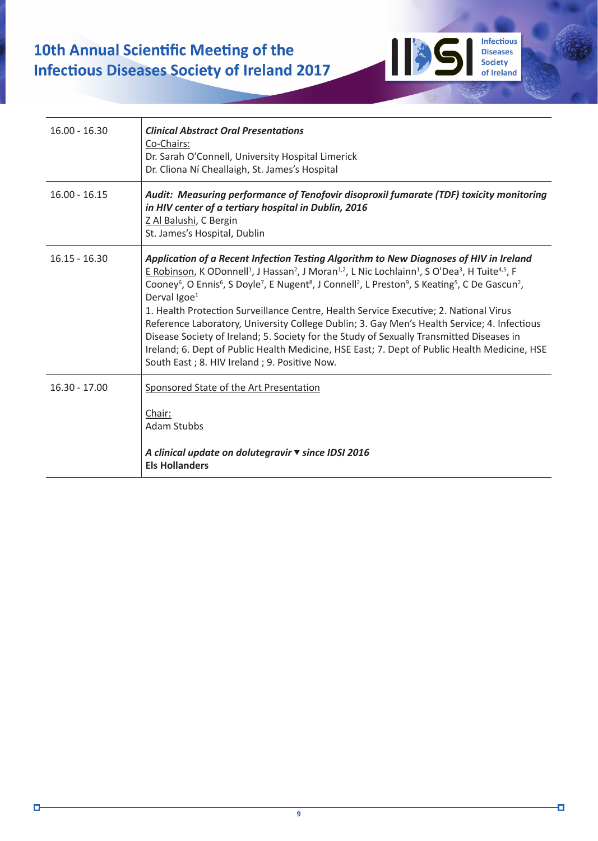## 10th Annual Scientific Meeting of the **Infectious Diseases Society of Ireland 2017**

| $16.00 - 16.30$ | <b>Clinical Abstract Oral Presentations</b><br>Co-Chairs:<br>Dr. Sarah O'Connell, University Hospital Limerick<br>Dr. Cliona Ní Cheallaigh, St. James's Hospital                                                                                                                                                                                                                                                                                                                                                                                                                                                                                                                                                                                                                                                                                                                                                                     |
|-----------------|--------------------------------------------------------------------------------------------------------------------------------------------------------------------------------------------------------------------------------------------------------------------------------------------------------------------------------------------------------------------------------------------------------------------------------------------------------------------------------------------------------------------------------------------------------------------------------------------------------------------------------------------------------------------------------------------------------------------------------------------------------------------------------------------------------------------------------------------------------------------------------------------------------------------------------------|
| $16.00 - 16.15$ | Audit: Measuring performance of Tenofovir disoproxil fumarate (TDF) toxicity monitoring<br>in HIV center of a tertiary hospital in Dublin, 2016<br>Z Al Balushi, C Bergin<br>St. James's Hospital, Dublin                                                                                                                                                                                                                                                                                                                                                                                                                                                                                                                                                                                                                                                                                                                            |
| $16.15 - 16.30$ | Application of a Recent Infection Testing Algorithm to New Diagnoses of HIV in Ireland<br>E Robinson, K ODonnell <sup>1</sup> , J Hassan <sup>2</sup> , J Moran <sup>1,2</sup> , L Nic Lochlainn <sup>1</sup> , S O'Dea <sup>3</sup> , H Tuite <sup>4,5</sup> , F<br>Cooney <sup>6</sup> , O Ennis <sup>6</sup> , S Doyle <sup>7</sup> , E Nugent <sup>8</sup> , J Connell <sup>2</sup> , L Preston <sup>9</sup> , S Keating <sup>5</sup> , C De Gascun <sup>2</sup> ,<br>Derval $\text{Igoe}^1$<br>1. Health Protection Surveillance Centre, Health Service Executive; 2. National Virus<br>Reference Laboratory, University College Dublin; 3. Gay Men's Health Service; 4. Infectious<br>Disease Society of Ireland; 5. Society for the Study of Sexually Transmitted Diseases in<br>Ireland; 6. Dept of Public Health Medicine, HSE East; 7. Dept of Public Health Medicine, HSE<br>South East; 8. HIV Ireland; 9. Positive Now. |
| $16.30 - 17.00$ | Sponsored State of the Art Presentation<br>Chair:<br><b>Adam Stubbs</b>                                                                                                                                                                                                                                                                                                                                                                                                                                                                                                                                                                                                                                                                                                                                                                                                                                                              |
|                 | A clinical update on dolutegravir v since IDSI 2016<br><b>Els Hollanders</b>                                                                                                                                                                                                                                                                                                                                                                                                                                                                                                                                                                                                                                                                                                                                                                                                                                                         |

Infectious<br>Diseases<br>Society<br>of Ireland

Ō

**1135** 

Ο